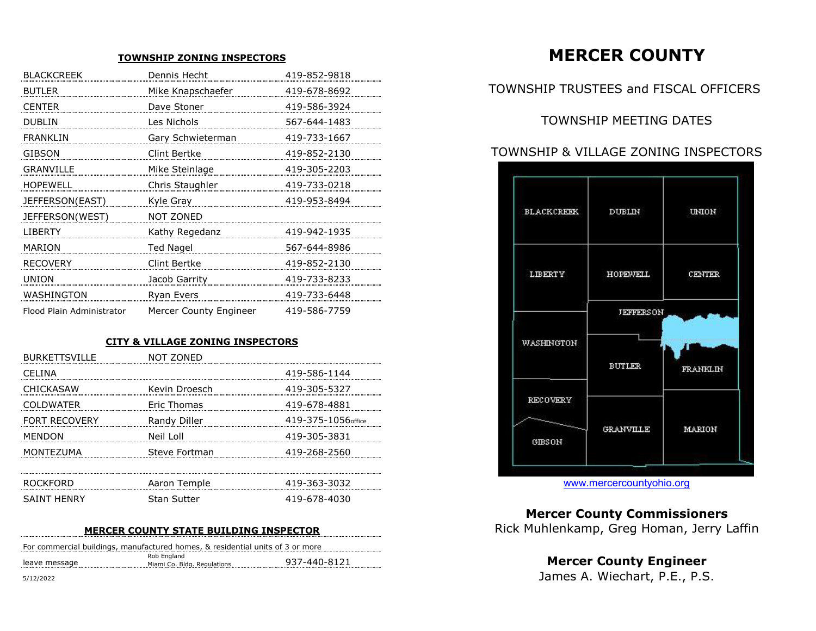## **TOWNSHIP ZONING INSPECTORS**

| <b>BLACKCREEK</b>         | Dennis Hecht           | 419-852-9818 |
|---------------------------|------------------------|--------------|
| <b>BUTLER</b>             | Mike Knapschaefer      | 419-678-8692 |
| <b>CENTER</b>             | Dave Stoner            | 419-586-3924 |
| <b>DUBLIN</b>             | Les Nichols            | 567-644-1483 |
| <b>FRANKLIN</b>           | Gary Schwieterman      | 419-733-1667 |
| GIBSON                    | Clint Bertke           | 419-852-2130 |
| <b>GRANVILLE</b>          | Mike Steinlage         | 419-305-2203 |
| <b>HOPEWELL</b>           | Chris Staughler        | 419-733-0218 |
| JEFFERSON(EAST)           | Kyle Gray              | 419-953-8494 |
| JEFFERSON(WEST)           | NOT ZONED              |              |
| <b>LIBERTY</b>            | Kathy Regedanz         | 419-942-1935 |
| <b>MARION</b>             | <b>Ted Nagel</b>       | 567-644-8986 |
| <b>RECOVERY</b>           | Clint Bertke           | 419-852-2130 |
| <b>UNION</b>              | Jacob Garrity          | 419-733-8233 |
| WASHINGTON                | Ryan Evers             | 419-733-6448 |
| Flood Plain Administrator | Mercer County Engineer | 419-586-7759 |

# **CITY & VILLAGE ZONING INSPECTORS**

| <b>BURKETTSVILLE</b> | NOT ZONED     |                     |
|----------------------|---------------|---------------------|
| CELINA               |               | 419-586-1144        |
| <b>CHICKASAW</b>     | Kevin Droesch | 419-305-5327        |
| <b>COLDWATER</b>     | Eric Thomas   | 419-678-4881        |
| <b>FORT RECOVERY</b> | Randy Diller  | 419-375-1056 office |
| <b>MENDON</b>        | Neil Loll     | 419-305-3831        |
| MONTEZUMA            | Steve Fortman | 419-268-2560        |
|                      |               |                     |
| ROCKFORD             | Aaron Temple  | 419-363-3032        |
| <b>SAINT HENRY</b>   | Stan Sutter   | 419-678-4030        |

## **MERCER COUNTY STATE BUILDING INSPECTOR**

|               | For commercial buildings, manufactured homes, & residential units of 3 or more |              |
|---------------|--------------------------------------------------------------------------------|--------------|
| leave message | Rob England<br>Miami Co. Bldg. Regulations                                     | 937-440-8121 |

**MERCER COUNTY**

# TOWNSHIP TRUSTEES and FISCAL OFFICERS

TOWNSHIP MEETING DATES

# TOWN SHIP & VILLAGE ZONING INSPECTORS



www.mercercountyohio.org

**Mercer County Commissioners** Rick Muhlenkamp, Greg Homan, Jerry Laffin

**Mercer County Engineer** 

5/12/2022 James A. Wiechart, P.E., P.S.